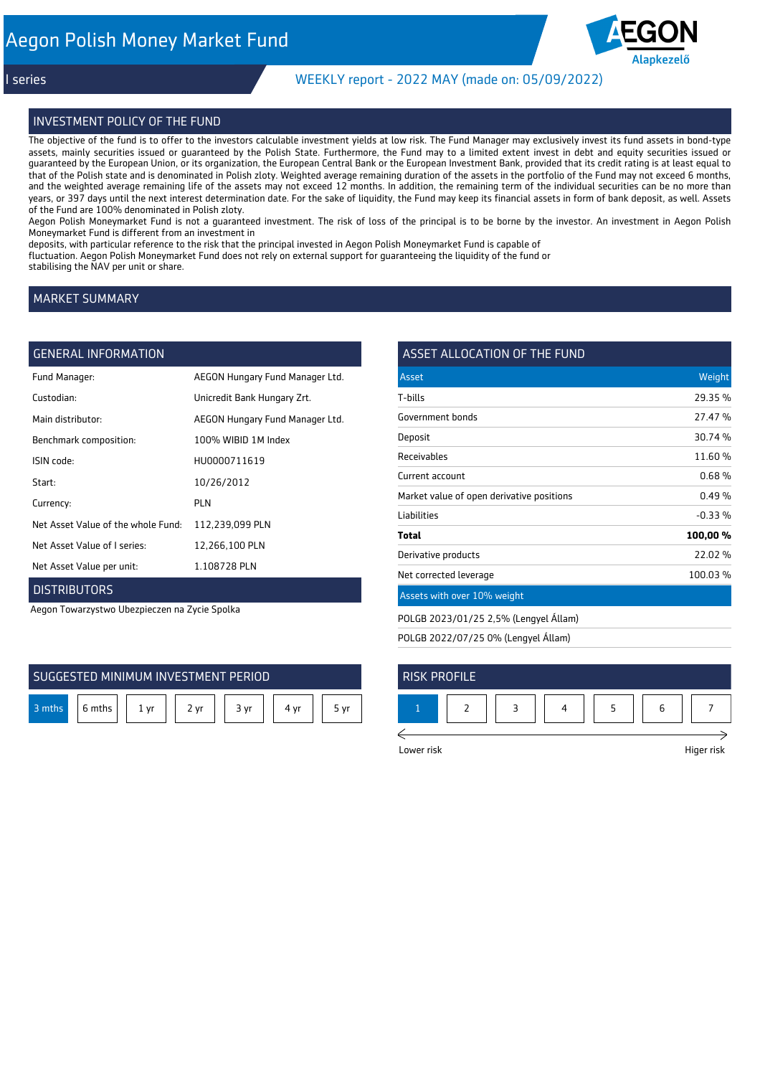

## I series WEEKLY report - 2022 MAY (made on: 05/09/2022)

#### INVESTMENT POLICY OF THE FUND

The objective of the fund is to offer to the investors calculable investment yields at low risk. The Fund Manager may exclusively invest its fund assets in bond-type assets, mainly securities issued or guaranteed by the Polish State. Furthermore, the Fund may to a limited extent invest in debt and equity securities issued or guaranteed by the European Union, or its organization, the European Central Bank or the European Investment Bank, provided that its credit rating is at least equal to that of the Polish state and is denominated in Polish zloty. Weighted average remaining duration of the assets in the portfolio of the Fund may not exceed 6 months, and the weighted average remaining life of the assets may not exceed 12 months. In addition, the remaining term of the individual securities can be no more than years, or 397 days until the next interest determination date. For the sake of liquidity, the Fund may keep its financial assets in form of bank deposit, as well. Assets of the Fund are 100% denominated in Polish zloty.

Aegon Polish Moneymarket Fund is not a guaranteed investment. The risk of loss of the principal is to be borne by the investor. An investment in Aegon Polish Moneymarket Fund is different from an investment in

deposits, with particular reference to the risk that the principal invested in Aegon Polish Moneymarket Fund is capable of fluctuation. Aegon Polish Moneymarket Fund does not rely on external support for guaranteeing the liquidity of the fund or stabilising the NAV per unit or share.

## MARKET SUMMARY

## **GENERAL INFORMATION**

| Fund Manager:                      | AEGON Hungary Fund Manager Ltd. |
|------------------------------------|---------------------------------|
| Custodian:                         | Unicredit Bank Hungary Zrt.     |
| Main distributor:                  | AEGON Hungary Fund Manager Ltd. |
| Benchmark composition:             | 100% WIBID 1M Index             |
| ISIN code:                         | HU0000711619                    |
| Start:                             | 10/26/2012                      |
| Currency:                          | PI N                            |
| Net Asset Value of the whole Fund: | 112,239,099 PLN                 |
| Net Asset Value of I series:       | 12,266,100 PLN                  |
| Net Asset Value per unit:          | 1.108728 PLN                    |
|                                    |                                 |

## **DISTRIBUTORS**

Aegon Towarzystwo Ubezpieczen na Zycie Spolka



| ASSET ALLOCATION OF THE FUND              |          |
|-------------------------------------------|----------|
| Asset                                     | Weight   |
| T-bills                                   | 29.35 %  |
| Government bonds                          | 27.47 %  |
| Deposit                                   | 30.74 %  |
| Receivables                               | 11.60%   |
| Current account                           | 0.68%    |
| Market value of open derivative positions | 0.49%    |
| Liabilities                               | $-0.33%$ |
| Total                                     | 100,00%  |
| Derivative products                       | 22.02%   |
| Net corrected leverage                    | 100.03%  |

## Assets with over 10% weight

POLGB 2023/01/25 2,5% (Lengyel Állam)

POLGB 2022/07/25 0% (Lengyel Állam)

| <b>RISK PROFILE</b> |  |  |  |
|---------------------|--|--|--|
|                     |  |  |  |
|                     |  |  |  |

Lower risk Higer risk